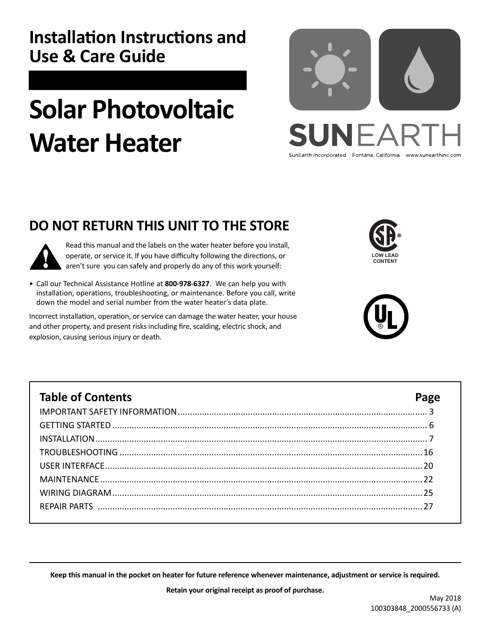## **Installation Instructions and Use & Care Guide**

# **Solar Photovoltaic Water Heater**



**DO NOT RETURN THIS UNIT TO THE STORE** 



Read this manual and the labels on the water heater before you install, operate, or service it. If you have difficulty following the directions, or aren't sure you can safely and properly do any of this work yourself:

• Call our Technical Assistance Hotline at **800-978-6327**. We can help you with installation, operations, troubleshooting, or maintenance. Before you call, write down the model and serial number from the water heater's data plate.

Incorrect installation, operation, or service can damage the water heater, your house and other property, and present risks including fire, scalding, electric shock, and explosion, causing serious injury or death.





| <b>Table of Contents</b> |  |
|--------------------------|--|
|                          |  |
|                          |  |
|                          |  |
|                          |  |
|                          |  |
|                          |  |
|                          |  |
|                          |  |
|                          |  |

**Keep this manual in the pocket on heater for future reference whenever maintenance, adjustment or service is required.**

**Retain your original receipt as proof of purchase.**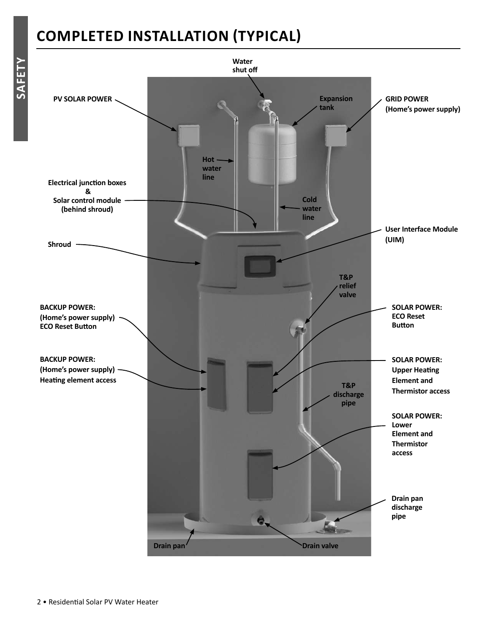## **COMPLETED INSTALLATION ΈTYPICALΉ**

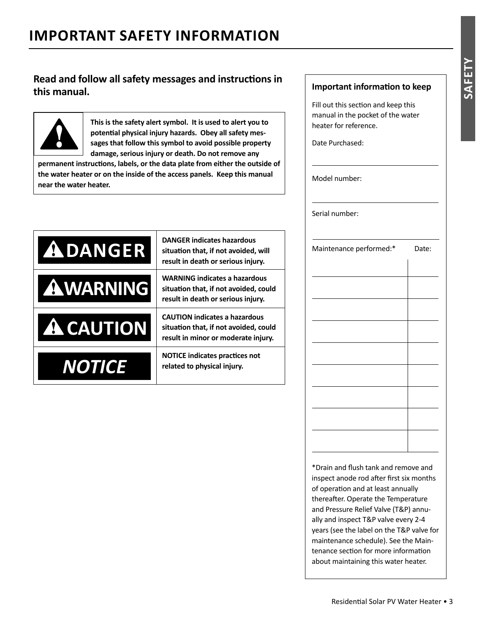## **IMPORTANT SAFETY INFORMATION**

### **Read and follow all safety messages and instructions in this manual.**



**This is the safety alert symbol. It is used to alert you to** potential physical injury hazards. Obey all safety mes**sages that follow this symbol to avoid possible property damage, serious injury or death. Do not remove any** 

permanent instructions, labels, or the data plate from either the outside of **the water heater or on the inside of the access panels. Keep this manual near the water heater.**

| <b>ADANGER</b>   | <b>DANGER indicates hazardous</b><br>situation that, if not avoided, will<br>result in death or serious injury.      |
|------------------|----------------------------------------------------------------------------------------------------------------------|
| <b>AWARNING</b>  | <b>WARNING indicates a hazardous</b><br>situation that, if not avoided, could<br>result in death or serious injury.  |
| <b>A CAUTION</b> | <b>CAUTION indicates a hazardous</b><br>situation that, if not avoided, could<br>result in minor or moderate injury. |
| NOTICE           | <b>NOTICE indicates practices not</b><br>related to physical injury.                                                 |

#### **Important information to keep**

Fill out this section and keep this manual in the pocket of the water heater for reference.

Date Purchased:

Model number:

Serial number:

| Maintenance performed:* | Date: |
|-------------------------|-------|
|                         |       |
|                         |       |
|                         |       |
|                         |       |
|                         |       |
|                         |       |
|                         |       |
|                         |       |
|                         |       |
|                         |       |
|                         |       |
|                         |       |

\*Drain and fl ush tank and remove and inspect anode rod after first six months of operation and at least annually thereafter. Operate the Temperature and Pressure Relief Valve (T&P) annually and inspect T&P valve every 2-4 years (see the label on the T&P valve for maintenance schedule). See the Maintenance section for more information about maintaining this water heater.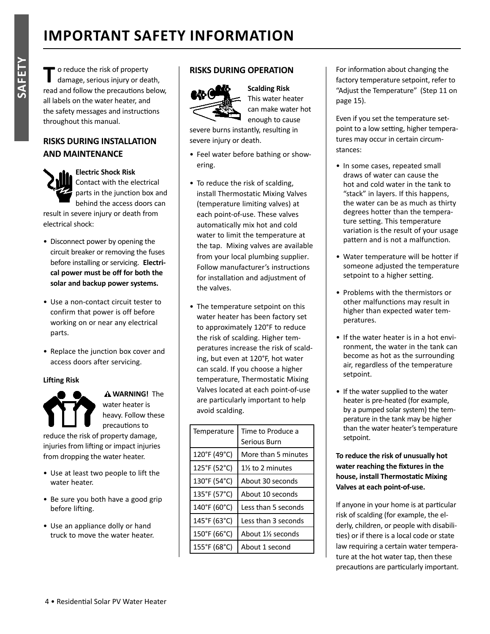**T** o reduce the risk of property damage, serious injury or death, read and follow the precautions below, all labels on the water heater, and the safety messages and instructions throughout this manual.

#### **RISKS DURING INSTALLATION AND MAINTENANCE**



#### **Electric Shock Risk** Contact with the electrical

parts in the junction box and behind the access doors can

result in severe injury or death from electrical shock:

- Disconnect power by opening the circuit breaker or removing the fuses before installing or servicing. **Electrical power must be off for both the solar and backup power systems.**
- Use a non-contact circuit tester to confirm that power is off before working on or near any electrical parts.
- Replace the junction box cover and access doors after servicing.

#### **Lifting Risk**



 **WARNING!** The water heater is heavy. Follow these precautions to

reduce the risk of property damage, injuries from lifting or impact injuries from dropping the water heater.

- Use at least two people to lift the water heater.
- Be sure you both have a good grip before lifting.
- Use an appliance dolly or hand truck to move the water heater.

#### **RISKS DURING OPERATION**



**Scalding Risk** This water heater can make water hot enough to cause

severe burns instantly, resulting in severe injury or death.

- Feel water before bathing or showering.
- To reduce the risk of scalding, install Thermostatic Mixing Valves (temperature limiting valves) at each point-of-use. These valves automatically mix hot and cold water to limit the temperature at the tap. Mixing valves are available from your local plumbing supplier. Follow manufacturer's instructions for installation and adjustment of the valves.
- The temperature setpoint on this water heater has been factory set to approximately 120°F to reduce the risk of scalding. Higher temperatures increase the risk of scalding, but even at 120°F, hot water can scald. If you choose a higher temperature, Thermostatic Mixing Valves located at each point-of-use are particularly important to help avoid scalding.

| Temperature  | Time to Produce a<br>Serious Burn           |
|--------------|---------------------------------------------|
| 120°F (49°C) | More than 5 minutes                         |
| 125°F (52°C) | 1% to 2 minutes                             |
| 130°F (54°C) | About 30 seconds                            |
| 135°F (57°C) | About 10 seconds                            |
| 140°F (60°C) | Less than 5 seconds                         |
| 145°F (63°C) | Less than 3 seconds                         |
| 150°F (66°C) | About 1 <sup>1</sup> / <sub>2</sub> seconds |
| 155°F (68°C) | About 1 second                              |

#### For information about changing the factory temperature setpoint, refer to "Adjust the Temperature" (Step 11 on page 15).

Even if you set the temperature setpoint to a low setting, higher temperatures may occur in certain circumstances:

- In some cases, repeated small draws of water can cause the hot and cold water in the tank to "stack" in layers. If this happens, the water can be as much as thirty degrees hotter than the temperature setting. This temperature variation is the result of your usage pattern and is not a malfunction.
- Water temperature will be hotter if someone adjusted the temperature setpoint to a higher setting.
- Problems with the thermistors or other malfunctions may result in higher than expected water temperatures.
- If the water heater is in a hot environment, the water in the tank can become as hot as the surrounding air, regardless of the temperature setpoint.
- If the water supplied to the water heater is pre-heated (for example, by a pumped solar system) the temperature in the tank may be higher than the water heater's temperature setpoint.

#### **To reduce the risk of unusually hot**  water reaching the fixtures in the **house, install ThermostaƟ c Mixing Valves at each point-of-use.**

If anyone in your home is at particular risk of scalding (for example, the elderly, children, or people with disabilities) or if there is a local code or state law requiring a certain water temperature at the hot water tap, then these precautions are particularly important.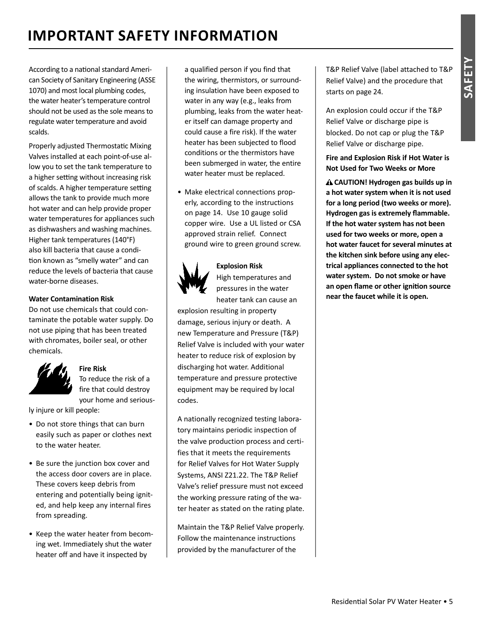## **IMPORTANT SAFETY INFORMATION**

According to a national standard American Society of Sanitary Engineering (ASSE 1070) and most local plumbing codes, the water heater's temperature control should not be used as the sole means to regulate water temperature and avoid scalds.

Properly adjusted Thermostatic Mixing Valves installed at each point-of-use allow you to set the tank temperature to a higher setting without increasing risk of scalds. A higher temperature setting allows the tank to provide much more hot water and can help provide proper water temperatures for appliances such as dishwashers and washing machines. Higher tank temperatures (140°F) also kill bacteria that cause a condition known as "smelly water" and can reduce the levels of bacteria that cause water-borne diseases.

#### **Water Contamination Risk**

Do not use chemicals that could contaminate the potable water supply. Do not use piping that has been treated with chromates, boiler seal, or other chemicals.



## **Fire Risk**

To reduce the risk of a fire that could destroy your home and serious-

ly injure or kill people:

- Do not store things that can burn easily such as paper or clothes next to the water heater.
- Be sure the junction box cover and the access door covers are in place. These covers keep debris from entering and potentially being ignited, and help keep any internal fires from spreading.
- Keep the water heater from becoming wet. Immediately shut the water heater off and have it inspected by

a qualified person if you find that the wiring, thermistors, or surrounding insulation have been exposed to water in any way (e.g., leaks from plumbing, leaks from the water heater itself can damage property and could cause a fire risk). If the water heater has been subjected to flood conditions or the thermistors have been submerged in water, the entire water heater must be replaced.

• Make electrical connections properly, according to the instructions on page 14. Use 10 gauge solid copper wire. Use a UL listed or CSA approved strain relief. Connect ground wire to green ground screw.



 **Explosion Risk** High temperatures and pressures in the water heater tank can cause an

explosion resulting in property damage, serious injury or death. A new Temperature and Pressure (T&P) Relief Valve is included with your water heater to reduce risk of explosion by discharging hot water. Additional temperature and pressure protective equipment may be required by local codes.

A nationally recognized testing laboratory maintains periodic inspection of the valve production process and certifies that it meets the requirements for Relief Valves for Hot Water Supply Systems, ANSI Z21.22. The T&P Relief Valve's relief pressure must not exceed the working pressure rating of the water heater as stated on the rating plate.

Maintain the T&P Relief Valve properly. Follow the maintenance instructions provided by the manufacturer of the

T&P Relief Valve (label attached to T&P Relief Valve) and the procedure that starts on page 24.

An explosion could occur if the T&P Relief Valve or discharge pipe is blocked. Do not cap or plug the T&P Relief Valve or discharge pipe.

**Fire and Explosion Risk if Hot Water is Not Used for Two Weeks or More**

**A CAUTION! Hydrogen gas builds up in a hot water system when it is not used for a long period (two weeks or more). Hydrogen gas is extremely flammable. If the hot water system has not been used for two weeks or more, open a hot water faucet for several minutes at the kitchen sink before using any electrical appliances connected to the hot water system. Do not smoke or have an open fl ame or other igniƟ on source near the faucet while it is open.**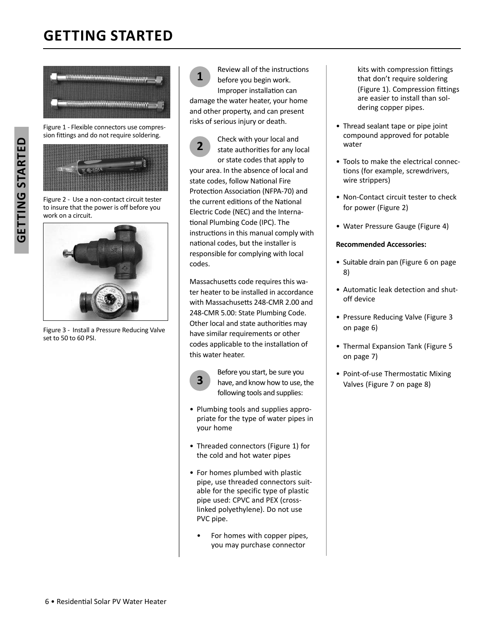## **GETTING STARTED**



Figure 1 - Flexible connectors use compression fittings and do not require soldering.



Figure 2 - Use a non-contact circuit tester to insure that the power is off before you work on a circuit.



Figure 3 - Install a Pressure Reducing Valve set to 50 to 60 PSI.

**1** Review all of the instructions before you begin work. Improper installation can damage the water heater, your home and other property, and can present risks of serious injury or death.

**2** Check with your local and state authorities for any local or state codes that apply to your area. In the absence of local and state codes, follow National Fire Protection Association (NFPA-70) and the current editions of the National Electric Code (NEC) and the International Plumbing Code (IPC). The instructions in this manual comply with national codes, but the installer is responsible for complying with local codes.

Massachusetts code requires this water heater to be installed in accordance with Massachusetts 248-CMR 2.00 and 248-CMR 5.00: State Plumbing Code. Other local and state authorities may have similar requirements or other codes applicable to the installation of this water heater.



Before you start, be sure you<br> **3** have, and know how to use, the following tools and supplies:

- Plumbing tools and supplies appropriate for the type of water pipes in your home
- Threaded connectors (Figure 1) for the cold and hot water pipes
- For homes plumbed with plastic pipe, use threaded connectors suitable for the specific type of plastic pipe used: CPVC and PEX (crosslinked polyethylene). Do not use PVC pipe.
	- For homes with copper pipes, you may purchase connector

kits with compression fittings that don't require soldering (Figure 1). Compression fittings are easier to install than soldering copper pipes.

- Thread sealant tape or pipe joint compound approved for potable water
- Tools to make the electrical connections (for example, screwdrivers, wire strippers)
- Non-Contact circuit tester to check for power (Figure 2)
- Water Pressure Gauge (Figure 4)

#### **Recommended Accessories:**

- Suitable drain pan (Figure 6 on page 8)
- Automatic leak detection and shutoff device
- Pressure Reducing Valve (Figure 3 on page 6)
- Thermal Expansion Tank (Figure 5) on page 7)
- Point-of-use Thermostatic Mixing Valves (Figure 7 on page 8)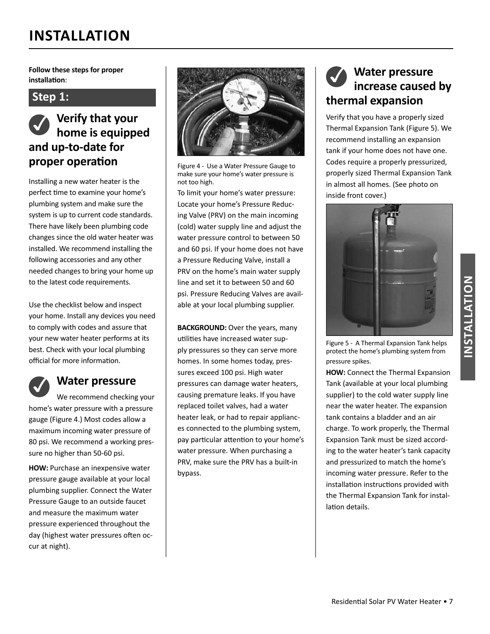**Follow these steps for proper**  $int$  **installation**:

#### **Step 1:**



Installing a new water heater is the perfect time to examine your home's plumbing system and make sure the system is up to current code standards. There have likely been plumbing code changes since the old water heater was installed. We recommend installing the following accessories and any other needed changes to bring your home up to the latest code requirements.

Use the checklist below and inspect your home. Install any devices you need to comply with codes and assure that your new water heater performs at its best. Check with your local plumbing official for more information.



#### ✓ **Water pressure**

We recommend checking your home's water pressure with a pressure gauge (Figure 4.) Most codes allow a maximum incoming water pressure of 80 psi. We recommend a working pressure no higher than 50-60 psi.

**HOW:** Purchase an inexpensive water pressure gauge available at your local plumbing supplier. Connect the Water Pressure Gauge to an outside faucet and measure the maximum water pressure experienced throughout the day (highest water pressures often occur at night).



Figure 4 - Use a Water Pressure Gauge to make sure your home's water pressure is not too high.

To limit your home's water pressure: Locate your home's Pressure Reducing Valve (PRV) on the main incoming (cold) water supply line and adjust the water pressure control to between 50 and 60 psi. If your home does not have a Pressure Reducing Valve, install a PRV on the home's main water supply line and set it to between 50 and 60 psi. Pressure Reducing Valves are available at your local plumbing supplier.

**BACKGROUND:** Over the years, many utilities have increased water supply pressures so they can serve more homes. In some homes today, pressures exceed 100 psi. High water pressures can damage water heaters, causing premature leaks. If you have replaced toilet valves, had a water heater leak, or had to repair appliances connected to the plumbing system, pay particular attention to your home's water pressure. When purchasing a PRV, make sure the PRV has a built-in bypass.

### ✓ **Water pressure increase caused by thermal expansion**

Verify that you have a properly sized Thermal Expansion Tank (Figure 5). We recommend installing an expansion tank if your home does not have one. Codes require a properly pressurized, properly sized Thermal Expansion Tank in almost all homes. (See photo on inside front cover.)



Figure 5 - A Thermal Expansion Tank helps protect the home's plumbing system from pressure spikes.

**HOW:** Connect the Thermal Expansion Tank (available at your local plumbing supplier) to the cold water supply line near the water heater. The expansion tank contains a bladder and an air charge. To work properly, the Thermal Expansion Tank must be sized according to the water heater's tank capacity and pressurized to match the home's incoming water pressure. Refer to the installation instructions provided with the Thermal Expansion Tank for installation details.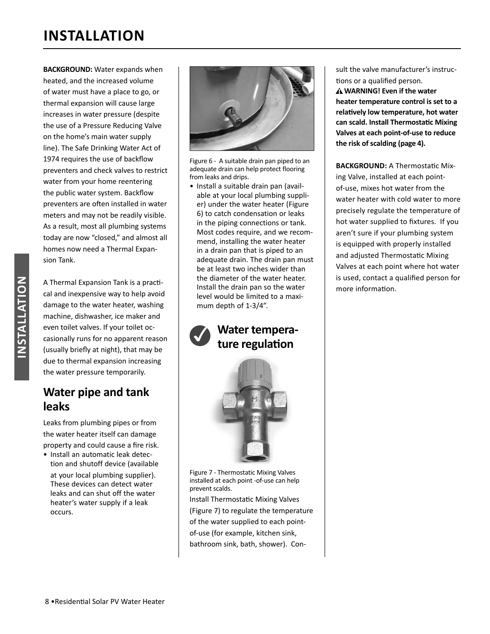**BACKGROUND:** Water expands when heated, and the increased volume of water must have a place to go, or thermal expansion will cause large increases in water pressure (despite the use of a Pressure Reducing Valve on the home's main water supply line). The Safe Drinking Water Act of 1974 requires the use of backflow preventers and check valves to restrict water from your home reentering the public water system. Backflow preventers are often installed in water meters and may not be readily visible. As a result, most all plumbing systems today are now "closed," and almost all homes now need a Thermal Expansion Tank.

A Thermal Expansion Tank is a practical and inexpensive way to help avoid damage to the water heater, washing machine, dishwasher, ice maker and even toilet valves. If your toilet occasionally runs for no apparent reason (usually briefly at night), that may be due to thermal expansion increasing the water pressure temporarily.

### **Water pipe and tank leaks**

Leaks from plumbing pipes or from the water heater itself can damage property and could cause a fire risk.

• Install an automatic leak detection and shutoff device (available

at your local plumbing supplier). These devices can detect water leaks and can shut off the water heater's water supply if a leak occurs.



Figure 6 - A suitable drain pan piped to an adequate drain can help protect flooring from leaks and drips.

• Install a suitable drain pan (available at your local plumbing supplier) under the water heater (Figure 6) to catch condensation or leaks in the piping connections or tank. Most codes require, and we recommend, installing the water heater in a drain pan that is piped to an adequate drain. The drain pan must be at least two inches wider than the diameter of the water heater. Install the drain pan so the water level would be limited to a maximum depth of 1-3/4".

### Water tempera**ture regulation**



Figure 7 - Thermostatic Mixing Valves installed at each point -of-use can help prevent scalds.

Install Thermostatic Mixing Valves (Figure 7) to regulate the temperature of the water supplied to each pointof-use (for example, kitchen sink, bathroom sink, bath, shower). Consult the valve manufacturer's instructions or a qualified person.

 **WARNING! Even if the water heater temperature control is set to a relaƟ vely low temperature, hot water can scald. Install ThermostaƟ c Mixing Valves at each point-of-use to reduce the risk of scalding (page 4).**

**BACKGROUND:** A Thermostatic Mixing Valve, installed at each pointof-use, mixes hot water from the water heater with cold water to more precisely regulate the temperature of hot water supplied to fixtures. If you aren't sure if your plumbing system is equipped with properly installed and adjusted Thermostatic Mixing Valves at each point where hot water is used, contact a qualified person for more information.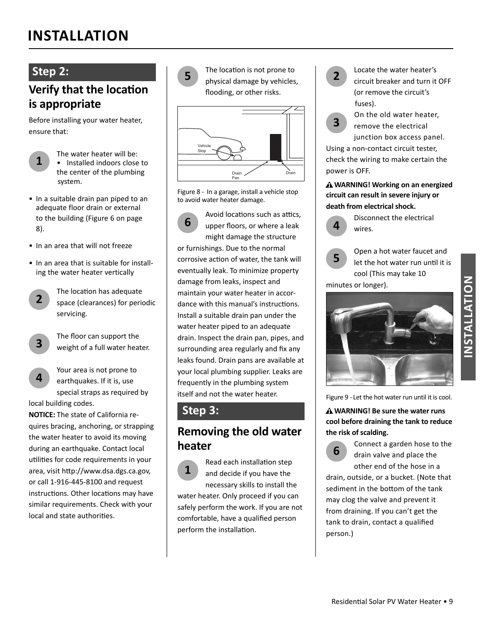### **Step 2:**

**1**

### **Verify that the location is appropriate**

Before installing your water heater, ensure that:

> The water heater will be: • Installed indoors close to the center of the plumbing system.

- In a suitable drain pan piped to an adequate floor drain or external to the building (Figure 6 on page 8).
- In an area that will not freeze
- In an area that is suitable for installing the water heater vertically
	- **2** The location has adequate space (clearances) for periodic servicing.
- **3**
- The floor can support the weight of a full water heater.

**4** Your area is not prone to earthquakes. If it is, use special straps as required by

local building codes.

**NOTICE:** The state of California requires bracing, anchoring, or strapping the water heater to avoid its moving during an earthquake. Contact local utilities for code requirements in your area, visit http://www.dsa.dgs.ca.gov, or call 1-916-445-8100 and request instructions. Other locations may have similar requirements. Check with your local and state authorities.



**5** The location is not prone to physical damage by vehicles, flooding, or other risks.



Figure 8 - In a garage, install a vehicle stop to avoid water heater damage.

**6** Avoid locations such as attics, upper floors, or where a leak might damage the structure or furnishings. Due to the normal corrosive action of water, the tank will eventually leak. To minimize property damage from leaks, inspect and maintain your water heater in accordance with this manual's instructions. Install a suitable drain pan under the water heater piped to an adequate drain. Inspect the drain pan, pipes, and surrounding area regularly and fix any leaks found. Drain pans are available at your local plumbing supplier. Leaks are frequently in the plumbing system itself and not the water heater.

### **Step 3:**

### **Removing the old water heater**

**1** Read each installation step and decide if you have the necessary skills to install the water heater. Only proceed if you can safely perform the work. If you are not comfortable, have a qualified person perform the installation.



**2** Locate the water heater's circuit breaker and turn it OFF (or remove the circuit's fuses).

**3** On the old water heater, remove the electrical junction box access panel.

Using a non-contact circuit tester, check the wiring to make certain the power is OFF.

 **WARNING! Working on an energized circuit can result in severe injury or death from electrical shock.**



Disconnect the electrical wires.

**5** Open a hot water faucet and let the hot water run until it is cool (This may take 10 minutes or longer).



Figure 9 - Let the hot water run until it is cool.

 **WARNING! Be sure the water runs cool before draining the tank to reduce the risk of scalding.**

**6** Connect a garden hose to the drain valve and place the other end of the hose in a

drain, outside, or a bucket. (Note that sediment in the bottom of the tank may clog the valve and prevent it from draining. If you can't get the tank to drain, contact a qualified person.)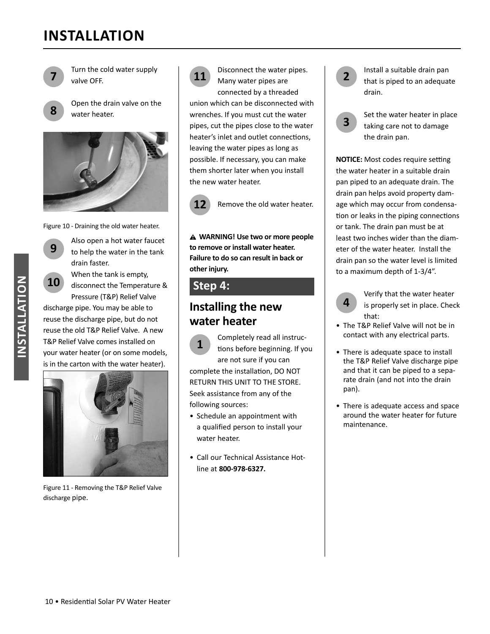

**7** Turn the cold water supply valve OFF.

**8** Open the drain valve on the water heater.



Figure 10 - Draining the old water heater.



**9** Also open a hot water faucet<br>to help the water in the tank drain faster.

**10** When the tank is empty,<br>**10** disconnect the Temperature & Pressure (T&P) Relief Valve

discharge pipe. You may be able to reuse the discharge pipe, but do not reuse the old T&P Relief Valve. A new T&P Relief Valve comes installed on your water heater (or on some models, is in the carton with the water heater).



Figure 11 - Removing the T&P Relief Valve discharge pipe.



**11** Disconnect the water pipes. Many water pipes are connected by a threaded

union which can be disconnected with wrenches. If you must cut the water pipes, cut the pipes close to the water heater's inlet and outlet connections, leaving the water pipes as long as possible. If necessary, you can make them shorter later when you install the new water heater.



12 Remove the old water heater.

**WARNING! Use two or more people to remove or install water heater. Failure to do so can result in back or other injury.**

### **Step 4:**

### **Installing the new water heater**

**1** Completely read all instruc-<br>tions before beginning. If you are not sure if you can complete the installation, DO NOT RETURN THIS UNIT TO THE STORE. Seek assistance from any of the following sources:

- Schedule an appointment with a qualified person to install your water heater.
- Call our Technical Assistance Hotline at **800-978-6327.**



**2** Install a suitable drain pan that is piped to an adequate drain.

**3** Set the water heater in place taking care not to damage the drain pan.

**NOTICE:** Most codes require setting the water heater in a suitable drain pan piped to an adequate drain. The drain pan helps avoid property damage which may occur from condensation or leaks in the piping connections or tank. The drain pan must be at least two inches wider than the diameter of the water heater. Install the drain pan so the water level is limited to a maximum depth of 1-3/4".



Verify that the water heater is properly set in place. Check that:

- The T&P Relief Valve will not be in contact with any electrical parts.
- There is adequate space to install the T&P Relief Valve discharge pipe and that it can be piped to a separate drain (and not into the drain pan).
- There is adequate access and space around the water heater for future maintenance.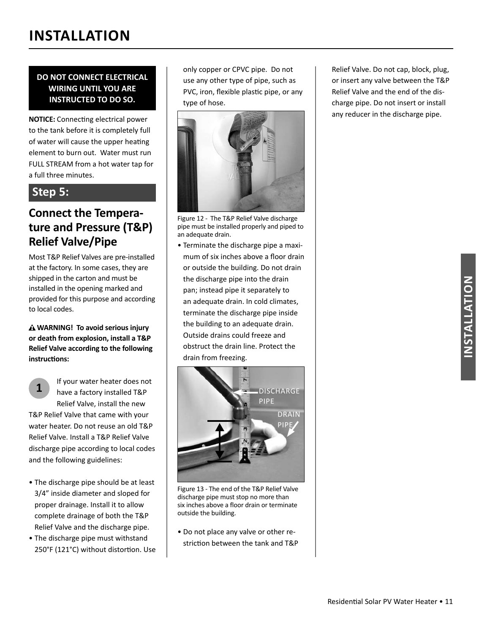#### **DO NOT CONNECT ELECTRICAL WIRING UNTIL YOU ARE INSTRUCTED TO DO SO.**

**NOTICE:** Connecting electrical power to the tank before it is completely full of water will cause the upper heating element to burn out. Water must run FULL STREAM from a hot water tap for a full three minutes.

### **Step 5:**

### **Connect the Temperature and Pressure (T&P) Relief Valve/Pipe**

Most T&P Relief Valves are pre-installed at the factory. In some cases, they are shipped in the carton and must be installed in the opening marked and provided for this purpose and according to local codes.

 **WARNING! To avoid serious injury or death from explosion, install a T&P Relief Valve according to the following**   $int$ *instructions:* 

**1** If your water heater does not have a factory installed T&P Relief Valve, install the new T&P Relief Valve that came with your water heater. Do not reuse an old T&P Relief Valve. Install a T&P Relief Valve

discharge pipe according to local codes and the following guidelines:

- The discharge pipe should be at least 3/4" inside diameter and sloped for proper drainage. Install it to allow complete drainage of both the T&P Relief Valve and the discharge pipe.
- The discharge pipe must withstand 250°F (121°C) without distortion. Use

only copper or CPVC pipe. Do not use any other type of pipe, such as PVC, iron, flexible plastic pipe, or any type of hose.



Figure 12 - The T&P Relief Valve discharge pipe must be installed properly and piped to an adequate drain.

• Terminate the discharge pipe a maximum of six inches above a floor drain or outside the building. Do not drain the discharge pipe into the drain pan; instead pipe it separately to an adequate drain. In cold climates, terminate the discharge pipe inside the building to an adequate drain. Outside drains could freeze and obstruct the drain line. Protect the drain from freezing.



Figure 13 - The end of the T&P Relief Valve discharge pipe must stop no more than six inches above a floor drain or terminate outside the building.

• Do not place any valve or other restriction between the tank and T&P Relief Valve. Do not cap, block, plug, or insert any valve between the T&P Relief Valve and the end of the discharge pipe. Do not insert or install any reducer in the discharge pipe.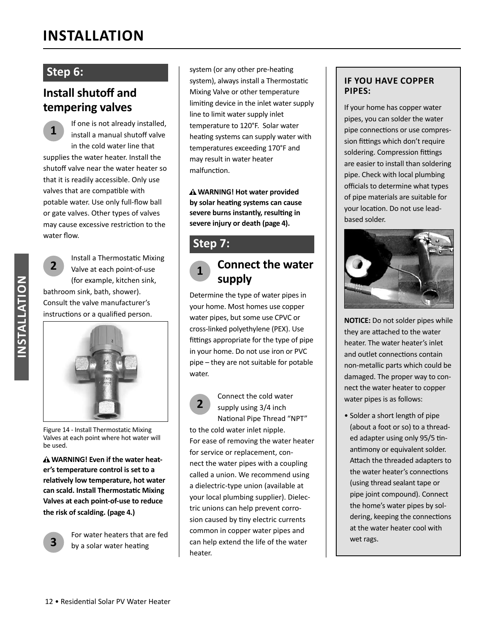### **Step 6:**

### **Install shutoff and tempering valves**

**1** If one is not already installed, install a manual shutoff valve in the cold water line that supplies the water heater. Install the shutoff valve near the water heater so that it is readily accessible. Only use valves that are compatible with potable water. Use only full-flow ball or gate valves. Other types of valves may cause excessive restriction to the water flow.

**2** Install a Thermostatic Mixing Valve at each point-of-use (for example, kitchen sink, bathroom sink, bath, shower). Consult the valve manufacturer's instructions or a qualified person.



Figure 14 - Install Thermostatic Mixing Valves at each point where hot water will be used.

 **WARNING! Even if the water heater's temperature control is set to a relaƟ vely low temperature, hot water can scald. Install ThermostaƟ c Mixing Valves at each point-of-use to reduce the risk of scalding. (page 4.)**



For water heaters that are fed by a solar water heating

system (or any other pre-heating system), always install a Thermostatic Mixing Valve or other temperature limiting device in the inlet water supply line to limit water supply inlet temperature to 120°F. Solar water heating systems can supply water with temperatures exceeding 170°F and may result in water heater malfunction.

 **WARNING! Hot water provided by solar heaƟ ng systems can cause severe burns instantly, resulting in severe injury or death (page 4).**

### **Step 7:**

### **<sup>1</sup> Connect the water supply**

Determine the type of water pipes in your home. Most homes use copper water pipes, but some use CPVC or cross-linked polyethylene (PEX). Use fittings appropriate for the type of pipe in your home. Do not use iron or PVC pipe – they are not suitable for potable water.

## **2**

Connect the cold water supply using 3/4 inch National Pipe Thread "NPT"

to the cold water inlet nipple. For ease of removing the water heater for service or replacement, connect the water pipes with a coupling called a union. We recommend using a dielectric-type union (available at your local plumbing supplier). Dielectric unions can help prevent corrosion caused by tiny electric currents common in copper water pipes and can help extend the life of the water heater.

#### **IF YOU HAVE COPPER PIPES:**

If your home has copper water pipes, you can solder the water pipe connections or use compression fittings which don't require soldering. Compression fittings are easier to install than soldering pipe. Check with local plumbing officials to determine what types of pipe materials are suitable for your location. Do not use leadbased solder.



**NOTICE:** Do not solder pipes while they are attached to the water heater. The water heater's inlet and outlet connections contain non-metallic parts which could be damaged. The proper way to connect the water heater to copper water pipes is as follows:

• Solder a short length of pipe (about a foot or so) to a threaded adapter using only 95/5 tinantimony or equivalent solder. Attach the threaded adapters to the water heater's connections (using thread sealant tape or pipe joint compound). Connect the home's water pipes by soldering, keeping the connections at the water heater cool with wet rags.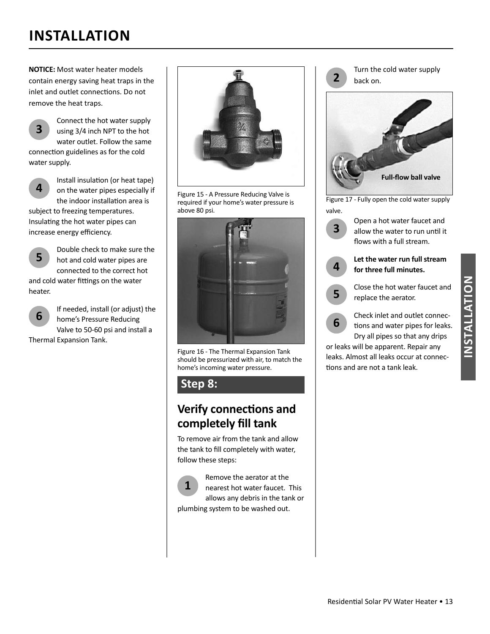**NOTICE:** Most water heater models contain energy saving heat traps in the inlet and outlet connections. Do not remove the heat traps.



Connect the hot water supply using 3/4 inch NPT to the hot water outlet. Follow the same

connection guidelines as for the cold water supply.

**4**

Install insulation (or heat tape) on the water pipes especially if the indoor installation area is

subject to freezing temperatures. Insulating the hot water pipes can increase energy efficiency.



Double check to make sure the hot and cold water pipes are connected to the correct hot and cold water fittings on the water

heater.



**6** If needed, install (or adjust) the home's Pressure Reducing Valve to 50-60 psi and install a

Thermal Expansion Tank.



Figure 15 - A Pressure Reducing Valve is required if your home's water pressure is above 80 psi.



Figure 16 - The Thermal Expansion Tank should be pressurized with air, to match the home's incoming water pressure.

### **Step 8:**

### **Verify connections and completely fill tank**

To remove air from the tank and allow the tank to fill completely with water, follow these steps:

**1** Remove the aerator at the nearest hot water faucet. This allows any debris in the tank or plumbing system to be washed out.



Figure 17 - Fully open the cold water supply valve.



or leaks will be apparent. Repair any leaks. Almost all leaks occur at connections and are not a tank leak.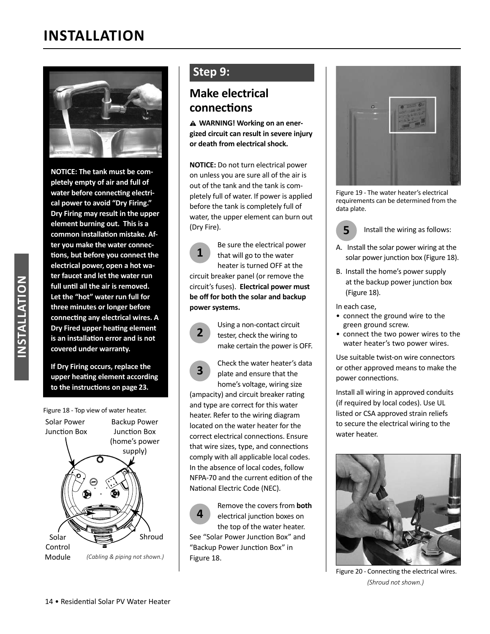

**NOTICE: The tank must be completely empty of air and full of**  water before connecting electri**cal power to avoid "Dry Firing." Dry Firing may result in the upper element burning out. This is a**  common installation mistake. Af**ter you make the water connec-Ɵ ons, but before you connect the electrical power, open a hot water faucet and let the water run**  full until all the air is removed. **Let the "hot" water run full for three minutes or longer before connecƟ ng any electrical wires. A Dry Fired upper heating element is an installaƟ on error and is not covered under warranty.**

**If Dry Firing occurs, replace the upper heaƟ ng element according to the instructions on page 23.** 



### **Step 9:**

### **Make electrical connecƟ ons**

**WARNING! Working on an energized circuit can result in severe injury or death from electrical shock.**

**NOTICE:** Do not turn electrical power on unless you are sure all of the air is out of the tank and the tank is completely full of water. If power is applied before the tank is completely full of water, the upper element can burn out (Dry Fire).

**1** Be sure the electrical power that will go to the water heater is turned OFF at the circuit breaker panel (or remove the circuit's fuses). **Electrical power must be off for both the solar and backup power systems.**

**3**



Check the water heater's data plate and ensure that the home's voltage, wiring size

(ampacity) and circuit breaker rating and type are correct for this water heater. Refer to the wiring diagram located on the water heater for the correct electrical connections. Ensure that wire sizes, type, and connections comply with all applicable local codes. In the absence of local codes, follow NFPA-70 and the current edition of the National Electric Code (NEC).

**4** Remove the covers from **both** electrical junction boxes on the top of the water heater. See "Solar Power Junction Box" and "Backup Power Junction Box" in Figure 18.



Figure 19 - The water heater's electrical requirements can be determined from the data plate.

**5** Install the wiring as follows:

- A. Install the solar power wiring at the solar power junction box (Figure 18).
- B. Install the home's power supply at the backup power junction box (Figure 18).

In each case,

- connect the ground wire to the green ground screw.
- connect the two power wires to the water heater's two power wires.

Use suitable twist-on wire connectors or other approved means to make the power connections.

Install all wiring in approved conduits (if required by local codes). Use UL listed or CSA approved strain reliefs to secure the electrical wiring to the water heater.



Figure 20 - Connecting the electrical wires. *(Shroud not shown.)*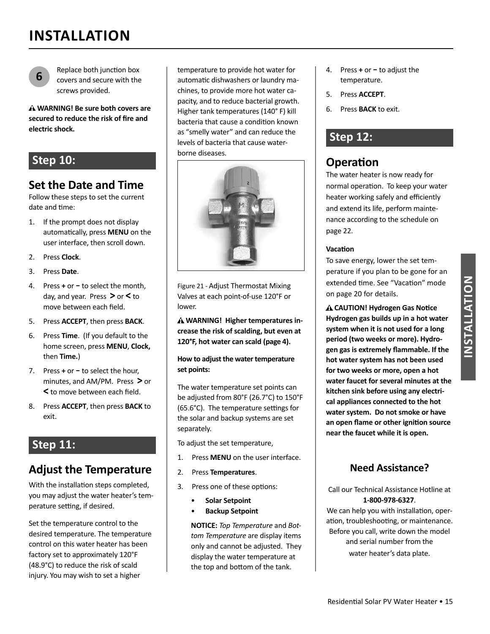

Replace both junction box covers and secure with the screws provided.

**WARNING! Be sure both covers are**  secured to reduce the risk of fire and **electric shock.**

### **Step 10:**

### **Set the Date and Time**

Follow these steps to set the current date and time:

- 1. If the prompt does not display automatically, press MENU on the user interface, then scroll down.
- 2. Press **Clock**.
- 3. Press **Date**.
- **4.** Press **+** or − to select the month, day, and year. Press **>** or **<** to move between each field.
- 5. Press **ACCEPT**, then press **BACK**.
- 6. Press **Time**. (If you default to the home screen, press **MENU**, **Clock,**  then **Time.**)
- 7. Press + or to select the hour, minutes, and AM/PM. Press **>** or < to move between each field.
- 8. Press **ACCEPT**, then press **BACK** to exit.

### **Step 11:**

### **Adjust the Temperature**

With the installation steps completed, you may adjust the water heater's temperature setting, if desired.

Set the temperature control to the desired temperature. The temperature control on this water heater has been factory set to approximately 120°F (48.9°C) to reduce the risk of scald injury. You may wish to set a higher

temperature to provide hot water for automatic dishwashers or laundry machines, to provide more hot water capacity, and to reduce bacterial growth. Higher tank temperatures (140° F) kill bacteria that cause a condition known as "smelly water" and can reduce the levels of bacteria that cause waterborne diseases.



Figure 21 - Adjust Thermostat Mixing Valves at each point-of-use 120°F or lower.

**WARNING! Higher temperatures increase the risk of scalding, but even at 120°F, hot water can scald (page 4).**

#### **How to adjust the water temperature set points:**

The water temperature set points can be adjusted from 80°F (26.7°C) to 150°F (65.6 $^{\circ}$ C). The temperature settings for the solar and backup systems are set separately.

To adjust the set temperature,

- 1. Press **MENU** on the user interface.
- 2. Press **Temperatures**.
- 3. Press one of these options:
	- **Solar Setpoint**
	- **Backup Setpoint**

**NOTICE:** *Top Temperature* and *Bottom Temperature* are display items only and cannot be adjusted. They display the water temperature at the top and bottom of the tank.

- **4.** Press **+** or − to adjust the temperature.
- 5. Press **ACCEPT**.
- 6. Press **BACK** to exit.

### **Step 12:**

### **Operation**

The water heater is now ready for normal operation. To keep your water heater working safely and efficiently and extend its life, perform maintenance according to the schedule on page 22.

#### **VacaƟ on**

To save energy, lower the set temperature if you plan to be gone for an extended time. See "Vacation" mode on page 20 for details.

**A CAUTION! Hydrogen Gas Notice Hydrogen gas builds up in a hot water system when it is not used for a long period (two weeks or more). Hydro**gen gas is extremely flammable. If the **hot water system has not been used for two weeks or more, open a hot water faucet for several minutes at the kitchen sink before using any electrical appliances connected to the hot water system. Do not smoke or have an open fl ame or other igniƟ on source near the faucet while it is open.** 

### **Need Assistance?**

Call our Technical Assistance Hotline at **1-800-978-6327**.

We can help you with installation, operation, troubleshooting, or maintenance. Before you call, write down the model and serial number from the water heater's data plate.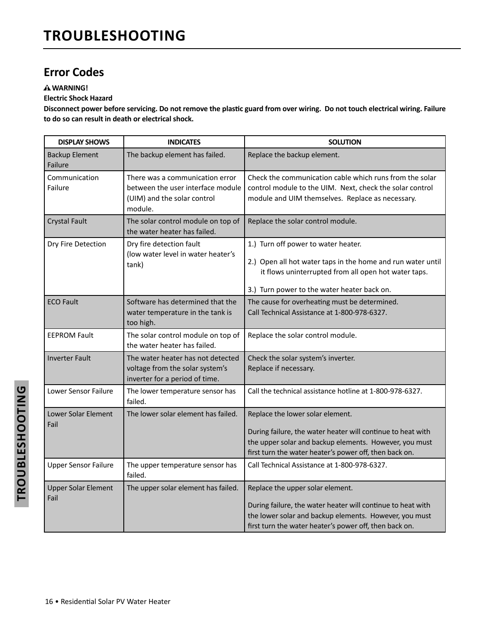### **Error Codes**

#### **WARNING!**

#### **Electric Shock Hazard**

Disconnect power before servicing. Do not remove the plastic guard from over wiring. Do not touch electrical wiring. Failure **to do so can result in death or electrical shock.** 

| <b>DISPLAY SHOWS</b>               | <b>INDICATES</b>                                                                                               | <b>SOLUTION</b>                                                                                                                                                                                                     |
|------------------------------------|----------------------------------------------------------------------------------------------------------------|---------------------------------------------------------------------------------------------------------------------------------------------------------------------------------------------------------------------|
| <b>Backup Element</b><br>Failure   | The backup element has failed.                                                                                 | Replace the backup element.                                                                                                                                                                                         |
| Communication<br>Failure           | There was a communication error<br>between the user interface module<br>(UIM) and the solar control<br>module. | Check the communication cable which runs from the solar<br>control module to the UIM. Next, check the solar control<br>module and UIM themselves. Replace as necessary.                                             |
| <b>Crystal Fault</b>               | The solar control module on top of<br>the water heater has failed.                                             | Replace the solar control module.                                                                                                                                                                                   |
| Dry Fire Detection                 | Dry fire detection fault<br>(low water level in water heater's<br>tank)                                        | 1.) Turn off power to water heater.<br>2.) Open all hot water taps in the home and run water until<br>it flows uninterrupted from all open hot water taps.<br>3.) Turn power to the water heater back on.           |
| <b>ECO Fault</b>                   | Software has determined that the<br>water temperature in the tank is<br>too high.                              | The cause for overheating must be determined.<br>Call Technical Assistance at 1-800-978-6327.                                                                                                                       |
| <b>EEPROM Fault</b>                | The solar control module on top of<br>the water heater has failed.                                             | Replace the solar control module.                                                                                                                                                                                   |
| <b>Inverter Fault</b>              | The water heater has not detected<br>voltage from the solar system's<br>inverter for a period of time.         | Check the solar system's inverter.<br>Replace if necessary.                                                                                                                                                         |
| Lower Sensor Failure               | The lower temperature sensor has<br>failed.                                                                    | Call the technical assistance hotline at 1-800-978-6327.                                                                                                                                                            |
| Lower Solar Element<br>Fail        | The lower solar element has failed.                                                                            | Replace the lower solar element.<br>During failure, the water heater will continue to heat with<br>the upper solar and backup elements. However, you must<br>first turn the water heater's power off, then back on. |
| <b>Upper Sensor Failure</b>        | The upper temperature sensor has<br>failed.                                                                    | Call Technical Assistance at 1-800-978-6327.                                                                                                                                                                        |
| <b>Upper Solar Element</b><br>Fail | The upper solar element has failed.                                                                            | Replace the upper solar element.<br>During failure, the water heater will continue to heat with<br>the lower solar and backup elements. However, you must<br>first turn the water heater's power off, then back on. |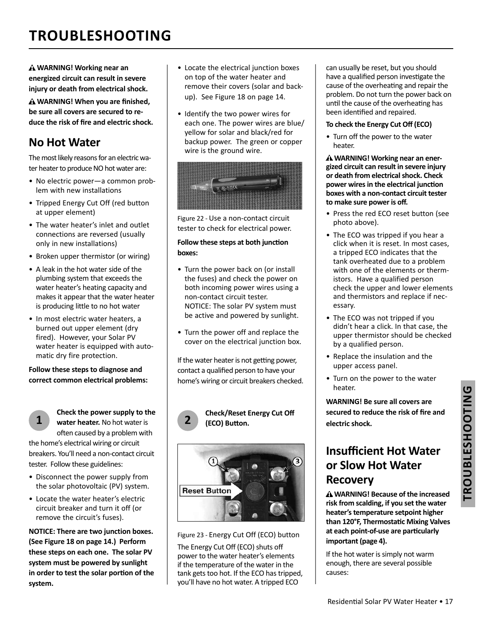## **TROUBLESHOOTING**

**WARNING! Working near an energized circuit can result in severe injury or death from electrical shock.** 

**A WARNING! When you are finished, be sure all covers are secured to re**duce the risk of fire and electric shock.

### **No Hot Water**

The most likely reasons for an electric water heater to produce NO hot water are:

- No electric power—a common problem with new installations
- Tripped Energy Cut Off (red button at upper element)
- The water heater's inlet and outlet connections are reversed (usually only in new installations)
- Broken upper thermistor (or wiring)
- A leak in the hot water side of the plumbing system that exceeds the water heater's heating capacity and makes it appear that the water heater is producing little to no hot water
- In most electric water heaters, a burned out upper element (dry fired). However, your Solar PV water heater is equipped with automatic dry fire protection.

**Follow these steps to diagnose and correct common electrical problems:** 



**Check the power supply to the water heater.** No hot water is often caused by a problem with

the home's electrical wiring or circuit breakers. You'll need a non-contact circuit tester. Follow these guidelines:

- Disconnect the power supply from the solar photovoltaic (PV) system.
- Locate the water heater's electric circuit breaker and turn it off (or remove the circuit's fuses).

**NOTICE: There are two junction boxes. (See Figure 18 on page 14.) Perform these steps on each one. The solar PV system must be powered by sunlight in order to test the solar portion of the system.** 

- Locate the electrical junction boxes on top of the water heater and remove their covers (solar and backup). See Figure 18 on page 14.
- Identify the two power wires for each one. The power wires are blue/ yellow for solar and black/red for backup power. The green or copper wire is the ground wire.



Figure 22 - Use a non-contact circuit tester to check for electrical power.

#### **Follow these steps at both junction boxes:**

- Turn the power back on (or install the fuses) and check the power on both incoming power wires using a non-contact circuit tester. NOTICE: The solar PV system must be active and powered by sunlight.
- Turn the power off and replace the cover on the electrical junction box.

If the water heater is not getting power, contact a qualified person to have your home's wiring or circuit breakers checked.



#### **2 Check/Reset Energy Cut Off (ECO) BuƩ on.**



Figure 23 - Energy Cut Off (ECO) button

The Energy Cut Off (ECO) shuts off power to the water heater's elements if the temperature of the water in the tank gets too hot. If the ECO has tripped, you'll have no hot water. A tripped ECO

can usually be reset, but you should have a qualified person investigate the cause of the overheating and repair the problem. Do not turn the power back on until the cause of the overheating has been identified and repaired.

#### **To check the Energy Cut Off (ECO)**

• Turn off the power to the water heater.

**WARNING! Working near an energized circuit can result in severe injury or death from electrical shock. Check power wires in the electrical junction boxes with a non-contact circuit tester to make sure power is off .** 

- Press the red ECO reset button (see photo above).
- The ECO was tripped if you hear a click when it is reset. In most cases, a tripped ECO indicates that the tank overheated due to a problem with one of the elements or thermistors. Have a qualified person check the upper and lower elements and thermistors and replace if necessary.
- The ECO was not tripped if you didn't hear a click. In that case, the upper thermistor should be checked by a qualified person.
- Replace the insulation and the upper access panel.
- Turn on the power to the water heater.

**WARNING! Be sure all covers are**  secured to reduce the risk of fire and **electric shock.**

### **Insuffi cient Hot Water or Slow Hot Water Recovery**

**WARNING! Because of the increased risk from scalding, if you set the water heater's temperature setpoint higher than 120°F, ThermostaƟ c Mixing Valves at each point-of-use are parƟ cularly important (page 4).** 

If the hot water is simply not warm enough, there are several possible causes: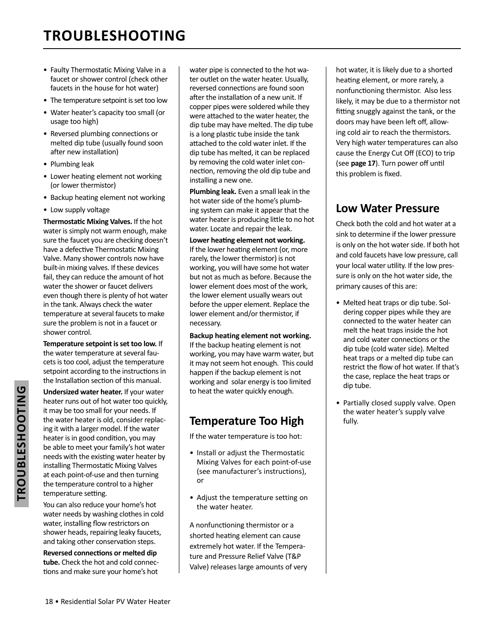## **TROUBLESHOOTING**

- Faulty Thermostatic Mixing Valve in a faucet or shower control (check other faucets in the house for hot water)
- The temperature setpoint is set too low
- Water heater's capacity too small (or usage too high)
- Reversed plumbing connections or melted dip tube (usually found soon after new installation)
- Plumbing leak
- Lower heating element not working (or lower thermistor)
- Backup heating element not working
- Low supply voltage

**Thermostatic Mixing Valves.** If the hot water is simply not warm enough, make sure the faucet you are checking doesn't have a defective Thermostatic Mixing Valve. Many shower controls now have built-in mixing valves. If these devices fail, they can reduce the amount of hot water the shower or faucet delivers even though there is plenty of hot water in the tank. Always check the water temperature at several faucets to make sure the problem is not in a faucet or shower control.

**Temperature setpoint is set too low.** If the water temperature at several faucets is too cool, adjust the temperature setpoint according to the instructions in the Installation section of this manual.

**Undersized water heater.** If your water heater runs out of hot water too quickly, it may be too small for your needs. If the water heater is old, consider replacing it with a larger model. If the water heater is in good condition, you may be able to meet your family's hot water needs with the existing water heater by installing Thermostatic Mixing Valves at each point-of-use and then turning the temperature control to a higher temperature setting.

You can also reduce your home's hot water needs by washing clothes in cold water, installing flow restrictors on shower heads, repairing leaky faucets, and taking other conservation steps.

**Reversed connecƟ ons or melted dip tube.** Check the hot and cold connections and make sure your home's hot water pipe is connected to the hot water outlet on the water heater. Usually, reversed connections are found soon after the installation of a new unit. If copper pipes were soldered while they were attached to the water heater, the dip tube may have melted. The dip tube is a long plastic tube inside the tank attached to the cold water inlet. If the dip tube has melted, it can be replaced by removing the cold water inlet connection, removing the old dip tube and installing a new one.

**Plumbing leak.** Even a small leak in the hot water side of the home's plumbing system can make it appear that the water heater is producing little to no hot water. Locate and repair the leak.

#### Lower heating element not working.

If the lower heating element (or, more rarely, the lower thermistor) is not working, you will have some hot water but not as much as before. Because the lower element does most of the work, the lower element usually wears out before the upper element. Replace the lower element and/or thermistor, if necessary.

#### **Backup heating element not working.**

If the backup heating element is not working, you may have warm water, but it may not seem hot enough. This could happen if the backup element is not working and solar energy is too limited to heat the water quickly enough.

### **Temperature Too High**

If the water temperature is too hot:

- Install or adjust the Thermostatic Mixing Valves for each point-of-use (see manufacturer's instructions), or
- Adjust the temperature setting on the water heater.

A nonfunctioning thermistor or a shorted heating element can cause extremely hot water. If the Temperature and Pressure Relief Valve (T&P Valve) releases large amounts of very hot water, it is likely due to a shorted heating element, or more rarely, a nonfunctioning thermistor. Also less likely, it may be due to a thermistor not fitting snuggly against the tank, or the doors may have been left off, allowing cold air to reach the thermistors. Very high water temperatures can also cause the Energy Cut Off (ECO) to trip (see page 17). Turn power off until this problem is fixed.

### **Low Water Pressure**

Check both the cold and hot water at a sink to determine if the lower pressure is only on the hot water side. If both hot and cold faucets have low pressure, call your local water utility. If the low pressure is only on the hot water side, the primary causes of this are:

- Melted heat traps or dip tube. Soldering copper pipes while they are connected to the water heater can melt the heat traps inside the hot and cold water connections or the dip tube (cold water side). Melted heat traps or a melted dip tube can restrict the flow of hot water. If that's the case, replace the heat traps or dip tube.
- Partially closed supply valve. Open the water heater's supply valve fully.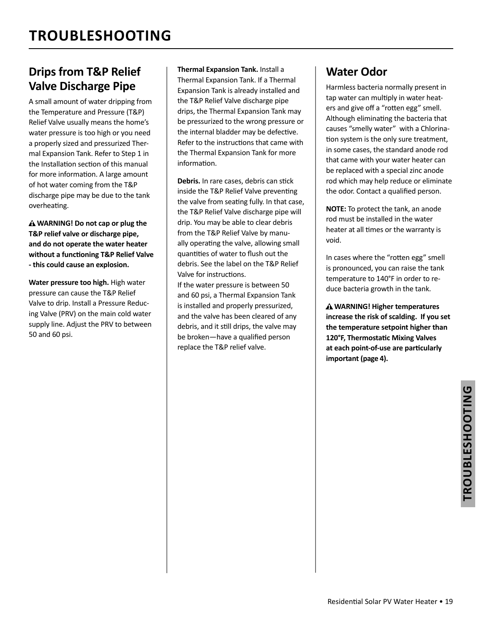### **Drips from T&P Relief Valve Discharge Pipe**

A small amount of water dripping from the Temperature and Pressure (T&P) Relief Valve usually means the home's water pressure is too high or you need a properly sized and pressurized Thermal Expansion Tank. Refer to Step 1 in the Installation section of this manual for more information. A large amount of hot water coming from the T&P discharge pipe may be due to the tank overheating.

**WARNING! Do not cap or plug the T&P relief valve or discharge pipe, and do not operate the water heater without a funcƟ oning T&P Relief Valve - this could cause an explosion.**

**Water pressure too high.** High water pressure can cause the T&P Relief Valve to drip. Install a Pressure Reducing Valve (PRV) on the main cold water supply line. Adjust the PRV to between 50 and 60 psi.

 **Thermal Expansion Tank.** Install a Thermal Expansion Tank. If a Thermal Expansion Tank is already installed and the T&P Relief Valve discharge pipe drips, the Thermal Expansion Tank may be pressurized to the wrong pressure or the internal bladder may be defective. Refer to the instructions that came with the Thermal Expansion Tank for more information.

Debris. In rare cases, debris can stick inside the T&P Relief Valve preventing the valve from seating fully. In that case, the T&P Relief Valve discharge pipe will drip. You may be able to clear debris from the T&P Relief Valve by manually operating the valve, allowing small quantities of water to flush out the debris. See the label on the T&P Relief Valve for instructions. If the water pressure is between 50 and 60 psi, a Thermal Expansion Tank is installed and properly pressurized, and the valve has been cleared of any debris, and it still drips, the valve may be broken—have a qualified person replace the T&P relief valve.

### **Water Odor**

Harmless bacteria normally present in tap water can multiply in water heaters and give off a "rotten egg" smell. Although eliminating the bacteria that causes "smelly water" with a Chlorination system is the only sure treatment, in some cases, the standard anode rod that came with your water heater can be replaced with a special zinc anode rod which may help reduce or eliminate the odor. Contact a qualified person.

**NOTE:** To protect the tank, an anode rod must be installed in the water heater at all times or the warranty is void.

In cases where the "rotten egg" smell is pronounced, you can raise the tank temperature to 140°F in order to reduce bacteria growth in the tank.

 **WARNING! Higher temperatures increase the risk of scalding. If you set the temperature setpoint higher than 120°F, ThermostaƟ c Mixing Valves at each point-of-use are parƟ cularly important (page 4).**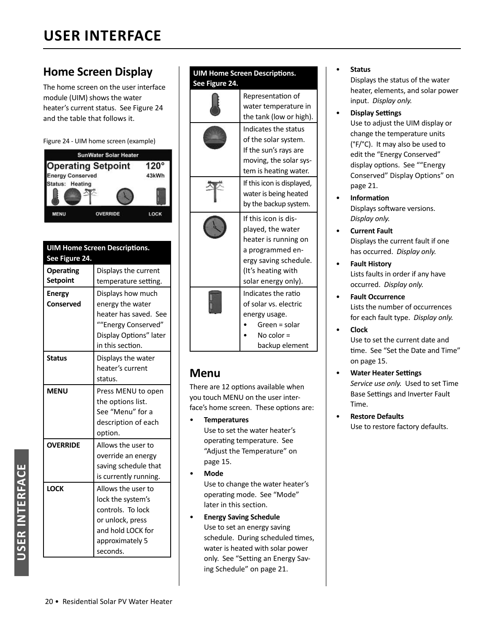### **Home Screen Display**

The home screen on the user interface module (UIM) shows the water heater's current status. See Figure 24 and the table that follows it.



|                         | <b>SunWater Solar Heater</b> |             |
|-------------------------|------------------------------|-------------|
|                         | <b>Operating Setpoint</b>    | $120^\circ$ |
| <b>Energy Conserved</b> |                              | 43kWh       |
| <b>Status: Heating</b>  |                              |             |
| <b>MENU</b>             | <b>OVERRIDE</b>              | LOCK        |

| <b>UIM Home Screen Descriptions.</b><br>See Figure 24. |                                                                                                                                      |
|--------------------------------------------------------|--------------------------------------------------------------------------------------------------------------------------------------|
| Operating<br><b>Setpoint</b>                           | Displays the current<br>temperature setting.                                                                                         |
| <b>Energy</b><br>Conserved                             | Displays how much<br>energy the water<br>heater has saved. See<br>""Energy Conserved"<br>Display Options" later<br>in this section.  |
| <b>Status</b>                                          | Displays the water<br>heater's current<br>status.                                                                                    |
| <b>MENU</b>                                            | Press MENU to open<br>the options list.<br>See "Menu" for a<br>description of each<br>option.                                        |
| <b>OVERRIDE</b>                                        | Allows the user to<br>override an energy<br>saving schedule that<br>is currently running.                                            |
| <b>LOCK</b>                                            | Allows the user to<br>lock the system's<br>controls. To lock<br>or unlock, press<br>and hold LOCK for<br>approximately 5<br>seconds. |

#### **UIM Home Screen Descriptions. See Figure 24.**

|                       | Representation of          |  |
|-----------------------|----------------------------|--|
|                       | water temperature in       |  |
|                       | the tank (low or high).    |  |
|                       | Indicates the status       |  |
|                       | of the solar system.       |  |
|                       | If the sun's rays are      |  |
|                       | moving, the solar sys-     |  |
|                       | tem is heating water.      |  |
|                       | If this icon is displayed, |  |
|                       | water is being heated      |  |
|                       | by the backup system.      |  |
|                       | If this icon is dis-       |  |
|                       | played, the water          |  |
|                       | heater is running on       |  |
|                       | a programmed en-           |  |
|                       | ergy saving schedule.      |  |
|                       | (It's heating with         |  |
|                       | solar energy only).        |  |
|                       | Indicates the ratio        |  |
| of solar vs. electric |                            |  |
|                       | energy usage.              |  |
|                       | Green = solar              |  |
|                       | No color $=$               |  |
|                       | backup element             |  |

### **Menu**

There are 12 options available when you touch MENU on the user interface's home screen. These options are:

- **Temperatures** Use to set the water heater's operating temperature. See "Adjust the Temperature" on page 15.
- **Mode**

Use to change the water heater's operating mode. See "Mode" later in this section.

• **Energy Saving Schedule** Use to set an energy saving schedule. During scheduled times, water is heated with solar power only. See "Setting an Energy Saving Schedule" on page 21.

#### • **Status**

Displays the status of the water heater, elements, and solar power input. *Display only.*

- **Display Seƫ ngs** Use to adjust the UIM display or change the temperature units (°F/°C). It may also be used to edit the "Energy Conserved" display options. See ""Energy Conserved" Display Options" on page 21.
- **InformaƟ on** Displays software versions. *Display only.*
- **Current Fault** Displays the current fault if one has occurred. *Display only.*
- **Fault History** Lists faults in order if any have occurred. *Display only.*
- **Fault Occurrence** Lists the number of occurrences for each fault type. *Display only.*
- **Clock** Use to set the current date and time. See "Set the Date and Time" on page 15.
- **Water Heater Seƫ ngs** *Service use only.* Used to set Time Base Settings and Inverter Fault Time.
- **Restore Defaults** Use to restore factory defaults.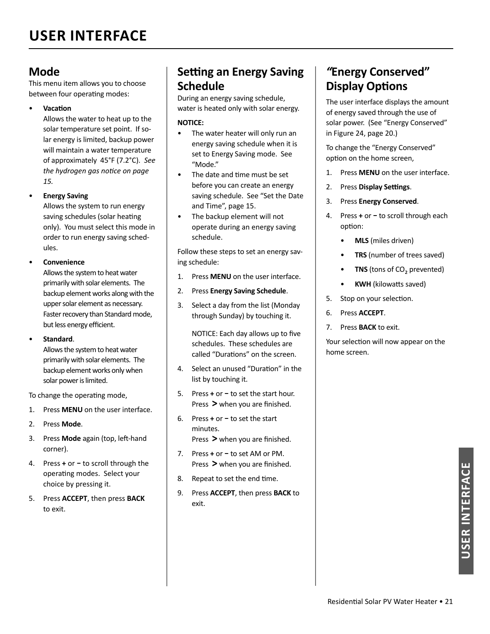### **Mode**

This menu item allows you to choose between four operating modes:

• **VacaƟ on**

Allows the water to heat up to the solar temperature set point. If solar energy is limited, backup power will maintain a water temperature of approximately 45°F (7.2°C). *See the hydrogen gas notice on page 15.*

• **Energy Saving**

Allows the system to run energy saving schedules (solar heating only). You must select this mode in order to run energy saving schedules.

#### • **Convenience**

Allows the system to heat water primarily with solar elements. The backup element works along with the upper solar element as necessary. Faster recovery than Standard mode, but less energy efficient.

• **Standard**.

Allows the system to heat water primarily with solar elements. The backup element works only when solar power is limited.

To change the operating mode,

- 1. Press **MENU** on the user interface.
- 2. Press **Mode**.
- 3. Press **Mode** again (top, left-hand corner).
- **4.** Press **+** or − to scroll through the operating modes. Select your choice by pressing it.
- 5. Press **ACCEPT**, then press **BACK** to exit.

### **Seƫ ng an Energy Saving Schedule**

During an energy saving schedule, water is heated only with solar energy.

#### **NOTICE:**

- The water heater will only run an energy saving schedule when it is set to Energy Saving mode. See "Mode."
- The date and time must be set before you can create an energy saving schedule. See "Set the Date and Time", page 15.
- The backup element will not operate during an energy saving schedule.

Follow these steps to set an energy saving schedule:

- 1. Press **MENU** on the user interface.
- 2. Press **Energy Saving Schedule**.
- 3. Select a day from the list (Monday through Sunday) by touching it.

NOTICE: Each day allows up to five schedules. These schedules are called "Durations" on the screen

- 4. Select an unused "Duration" in the list by touching it.
- 5. Press **+** or to set the start hour. Press > when you are finished.
- 6. Press **+** or to set the start minutes. Press > when you are finished.
- 7. Press **+** or − to set AM or PM. Press > when you are finished.
- 8. Repeat to set the end time.
- 9. Press **ACCEPT**, then press **BACK** to exit.

### *"***Energy Conserved" Display Options**

The user interface displays the amount of energy saved through the use of solar power. (See "Energy Conserved" in Figure 24, page 20.)

To change the "Energy Conserved" option on the home screen,

- 1. Press **MENU** on the user interface.
- 2. Press **Display Settings**.
- 3. Press **Energy Conserved**.
- **4.** Press **+** or − to scroll through each option:
	- **MLS** (miles driven)
	- **TRS** (number of trees saved)
	- **TNS** (tons of CO<sub>2</sub> prevented)
	- **KWH** (kilowatts saved)
- 5. Stop on your selection.
- 6. Press **ACCEPT**.
- 7. Press **BACK** to exit.

Your selection will now appear on the home screen.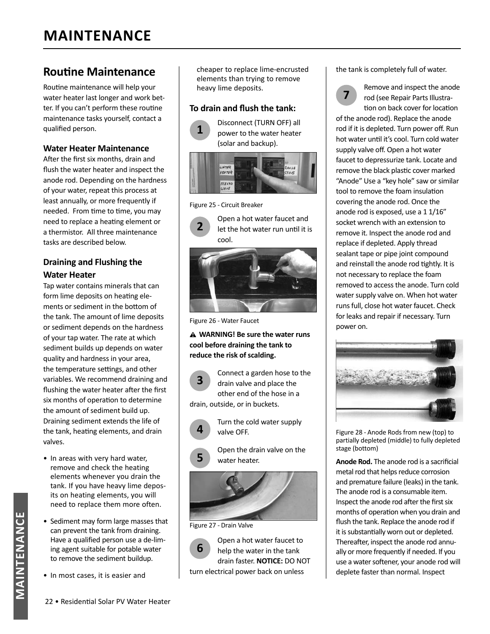### **Routine Maintenance**

Routine maintenance will help your water heater last longer and work better. If you can't perform these routine maintenance tasks yourself, contact a qualified person.

#### **Water Heater Maintenance**

After the first six months, drain and flush the water heater and inspect the anode rod. Depending on the hardness of your water, repeat this process at least annually, or more frequently if needed. From time to time, you may need to replace a heating element or a thermistor. All three maintenance tasks are described below.

#### **Draining and Flushing the Water Heater**

Tap water contains minerals that can form lime deposits on heating elements or sediment in the bottom of the tank. The amount of lime deposits or sediment depends on the hardness of your tap water. The rate at which sediment builds up depends on water quality and hardness in your area, the temperature settings, and other variables. We recommend draining and flushing the water heater after the first six months of operation to determine the amount of sediment build up. Draining sediment extends the life of the tank, heating elements, and drain valves.

- In areas with very hard water, remove and check the heating elements whenever you drain the tank. If you have heavy lime deposits on heating elements, you will need to replace them more often.
- Sediment may form large masses that can prevent the tank from draining. Have a qualified person use a de-liming agent suitable for potable water to remove the sediment buildup.
- In most cases, it is easier and

cheaper to replace lime-encrusted elements than trying to remove heavy lime deposits.

#### **To drain and flush the tank:**



#### Figure 25 - Circuit Breaker



Figure 26 - Water Faucet

#### **WARNING! Be sure the water runs cool before draining the tank to reduce the risk of scalding.**

**3** Connect a garden hose to the drain valve and place the other end of the hose in a drain, outside, or in buckets.



**5** Open the drain valve on the water heater.



Figure 27 - Drain Valve

**6** Open a hot water faucet to help the water in the tank drain faster. **NOTICE:** DO NOT turn electrical power back on unless

the tank is completely full of water.



**7** Remove and inspect the anode rod (see Repair Parts Illustration on back cover for location

of the anode rod). Replace the anode rod if it is depleted. Turn power off. Run hot water until it's cool. Turn cold water supply valve off. Open a hot water faucet to depressurize tank. Locate and remove the black plastic cover marked "Anode" Use a "key hole" saw or similar tool to remove the foam insulation covering the anode rod. Once the anode rod is exposed, use a 1 1/16" socket wrench with an extension to remove it. Inspect the anode rod and replace if depleted. Apply thread sealant tape or pipe joint compound and reinstall the anode rod tightly. It is not necessary to replace the foam removed to access the anode. Turn cold water supply valve on. When hot water runs full, close hot water faucet. Check for leaks and repair if necessary. Turn power on.



Figure 28 - Anode Rods from new (top) to partially depleted (middle) to fully depleted stage (bottom)

Anode Rod. The anode rod is a sacrificial metal rod that helps reduce corrosion and premature failure (leaks) in the tank. The anode rod is a consumable item. Inspect the anode rod after the first six months of operation when you drain and flush the tank. Replace the anode rod if it is substantially worn out or depleted. Thereafter, inspect the anode rod annually or more frequently if needed. If you use a water softener, your anode rod will deplete faster than normal. Inspect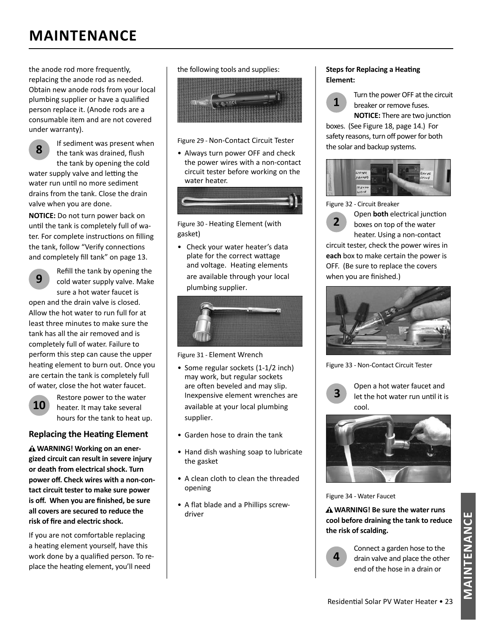## **MAINTENANCE**

the anode rod more frequently, replacing the anode rod as needed. Obtain new anode rods from your local plumbing supplier or have a qualified person replace it. (Anode rods are a consumable item and are not covered under warranty).



**NOTICE:** Do not turn power back on until the tank is completely full of water. For complete instructions on filling the tank, follow "Verify connections and completely fill tank" on page 13.

**9**

Refill the tank by opening the cold water supply valve. Make sure a hot water faucet is

open and the drain valve is closed. Allow the hot water to run full for at least three minutes to make sure the tank has all the air removed and is completely full of water. Failure to perform this step can cause the upper heating element to burn out. Once you are certain the tank is completely full of water, close the hot water faucet.



Restore power to the water heater. It may take several hours for the tank to heat up.

#### **Replacing the Heating Element**

 **WARNING! Working on an energized circuit can result in severe injury or death from electrical shock. Turn power off . Check wires with a non-contact circuit tester to make sure power is off.** When you are finished, be sure **all covers are secured to reduce the**  risk of fire and electric shock.

If you are not comfortable replacing a heating element yourself, have this work done by a qualified person. To replace the heating element, you'll need

the following tools and supplies:



#### Figure 29 - Non-Contact Circuit Tester

• Always turn power OFF and check the power wires with a non-contact circuit tester before working on the water heater.



Figure 30 - Heating Element (with gasket)

• Check your water heater's data plate for the correct wattage and voltage. Heating elements are available through your local plumbing supplier.



Figure 31 - Element Wrench

- Some regular sockets (1-1/2 inch) may work, but regular sockets are often beveled and may slip. Inexpensive element wrenches are available at your local plumbing supplier.
- Garden hose to drain the tank
- Hand dish washing soap to lubricate the gasket
- A clean cloth to clean the threaded opening
- A flat blade and a Phillips screwdriver

#### **Steps for Replacing a Heating Element:**

**1** Turn the power OFF at the circuit<br>**1** breaker or remove fuses breaker or remove fuses. **NOTICE:** There are two junction

boxes. (See Figure 18, page 14.) For safety reasons, turn off power for both the solar and backup systems.



Figure 32 - Circuit Breaker



**2** Open **both** electrical junction<br> **2** boxes on top of the water heater. Using a non-contact

circuit tester, check the power wires in **each** box to make certain the power is OFF. (Be sure to replace the covers when you are finished.)



Figure 33 - Non-Contact Circuit Tester



**3** Open a hot water faucet and let the hot water run until it is cool.



Figure 34 - Water Faucet

 **WARNING! Be sure the water runs cool before draining the tank to reduce the risk of scalding.**

**4**

Connect a garden hose to the drain valve and place the other end of the hose in a drain or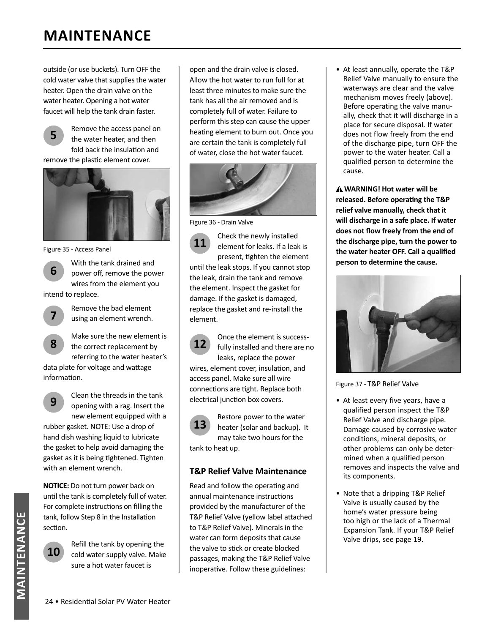## **MAINTENANCE**

outside (or use buckets). Turn OFF the cold water valve that supplies the water heater. Open the drain valve on the water heater. Opening a hot water faucet will help the tank drain faster.



**5** Remove the access panel on the water heater, and then fold back the insulation and

remove the plastic element cover.



Figure 35 - Access Panel

**6** With the tank drained and power off, remove the power wires from the element you intend to replace.



**8**

Remove the bad element using an element wrench.

Make sure the new element is the correct replacement by referring to the water heater's

data plate for voltage and wattage information.



**9** Clean the threads in the tank opening with a rag. Insert the new element equipped with a

rubber gasket. NOTE: Use a drop of hand dish washing liquid to lubricate the gasket to help avoid damaging the gasket as it is being tightened. Tighten with an element wrench.

**NOTICE:** Do not turn power back on until the tank is completely full of water. For complete instructions on filling the tank, follow Step 8 in the Installation section.



**10** Refill the tank by opening the cold water supply valve. Make sure a hot water faucet is

open and the drain valve is closed. Allow the hot water to run full for at least three minutes to make sure the tank has all the air removed and is completely full of water. Failure to perform this step can cause the upper heating element to burn out. Once you are certain the tank is completely full of water, close the hot water faucet.



Figure 36 - Drain Valve

**11** Check the newly installed<br>
element for leaks. If a leak is present, tighten the element until the leak stops. If you cannot stop the leak, drain the tank and remove the element. Inspect the gasket for damage. If the gasket is damaged, replace the gasket and re-install the element.

**12**

Once the element is successfully installed and there are no leaks, replace the power wires, element cover, insulation, and

access panel. Make sure all wire connections are tight. Replace both electrical junction box covers.



**13** Restore power to the water<br> **13** heater (solar and backup). It may take two hours for the tank to heat up.

#### **T&P Relief Valve Maintenance**

Read and follow the operating and annual maintenance instructions provided by the manufacturer of the T&P Relief Valve (yellow label attached to T&P Relief Valve). Minerals in the water can form deposits that cause the valve to stick or create blocked passages, making the T&P Relief Valve inoperative. Follow these guidelines:

• At least annually, operate the T&P Relief Valve manually to ensure the waterways are clear and the valve mechanism moves freely (above). Before operating the valve manually, check that it will discharge in a place for secure disposal. If water does not flow freely from the end of the discharge pipe, turn OFF the power to the water heater. Call a qualified person to determine the cause.

**WARNING! Hot water will be released.** Before operating the T&P **relief valve manually, check that it will discharge in a safe place. If water**  does not flow freely from the end of **the discharge pipe, turn the power to**  the water heater OFF. Call a qualified **person to determine the cause.**



Figure 37 - T&P Relief Valve

- At least every five years, have a qualified person inspect the T&P Relief Valve and discharge pipe. Damage caused by corrosive water conditions, mineral deposits, or other problems can only be determined when a qualified person removes and inspects the valve and its components.
- Note that a dripping T&P Relief Valve is usually caused by the home's water pressure being too high or the lack of a Thermal Expansion Tank. If your T&P Relief Valve drips, see page 19.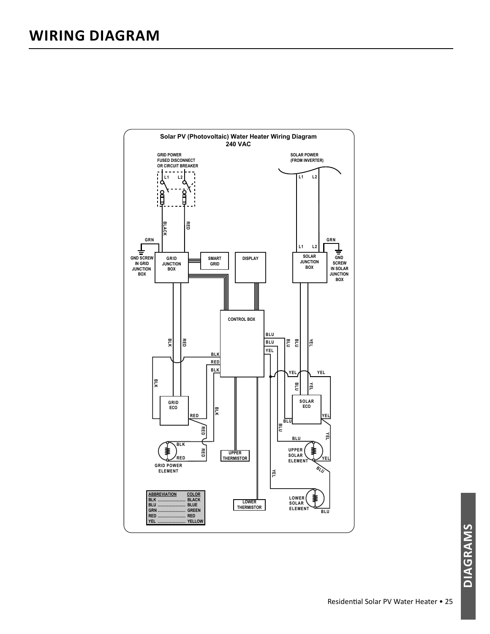

DIAGRAMS **DIAGRAMS**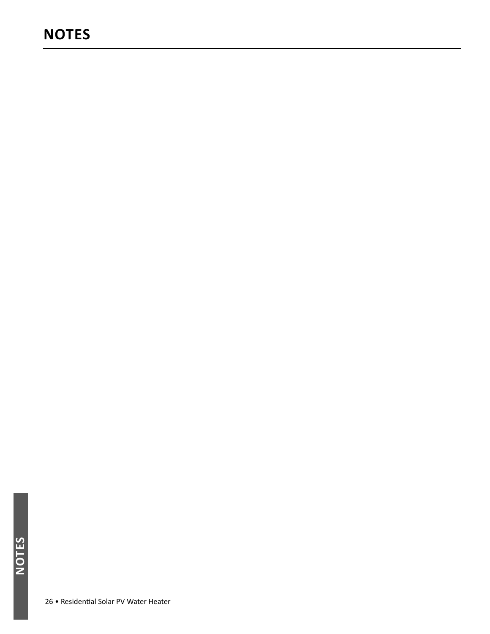## **NOTES**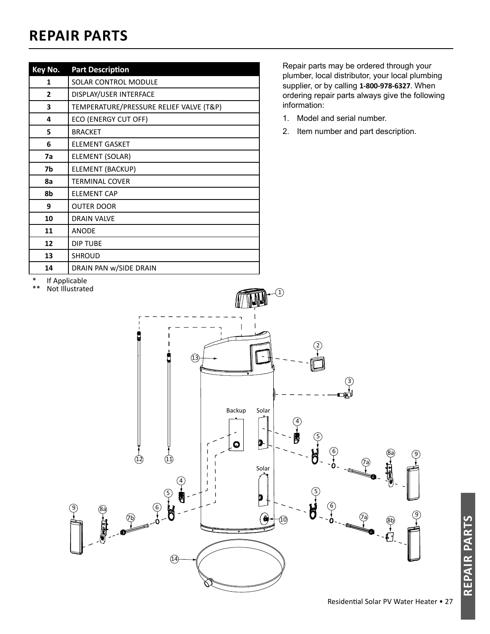## **REPAIR PARTS**

| Key No. | <b>Part Description</b>                 |
|---------|-----------------------------------------|
| 1       | SOLAR CONTROL MODULE                    |
| 2       | DISPLAY/USER INTERFACE                  |
| 3       | TEMPERATURE/PRESSURE RELIEF VALVE (T&P) |
| 4       | ECO (ENERGY CUT OFF)                    |
| 5       | <b>BRACKET</b>                          |
| 6       | <b>ELEMENT GASKET</b>                   |
| 7a      | ELEMENT (SOLAR)                         |
| 7b      | <b>ELEMENT (BACKUP)</b>                 |
| 8a      | <b>TERMINAL COVER</b>                   |
| 8b      | <b>ELEMENT CAP</b>                      |
| 9       | <b>OUTER DOOR</b>                       |
| 10      | <b>DRAIN VALVE</b>                      |
| 11      | <b>ANODE</b>                            |
| 12      | <b>DIP TUBE</b>                         |
| 13      | <b>SHROUD</b>                           |
| 14      | DRAIN PAN w/SIDE DRAIN                  |

 Repair parts may be ordered through your plumber, local distributor, your local plumbing supplier, or by calling **1-800-978-6327**. When ordering repair parts always give the following information:

- 1. Model and serial number.
- 2. Item number and part description.

\* If Applicable

\*\* Not Illustrated



**REPAIR PARTS**REPAIR PAR